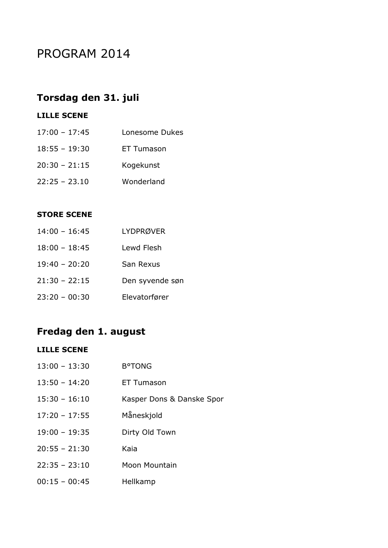# PROGRAM 2014

### **Torsdag den 31. juli**

### **LILLE SCENE**

| $17:00 - 17:45$ | Lonesome Dukes |
|-----------------|----------------|
| $18:55 - 19:30$ | ET Tumason     |
| $20:30 - 21:15$ | Kogekunst      |
| $22:25 - 23.10$ | Wonderland     |

#### **STORE SCENE**

| $14:00 - 16:45$ | <b>LYDPRØVER</b> |
|-----------------|------------------|
| $18:00 - 18:45$ | Lewd Flesh       |
| $19:40 - 20:20$ | San Rexus        |
| $21:30 - 22:15$ | Den syvende søn  |
| $23:20 - 00:30$ | Elevatorfører    |

## **Fredag den 1. august**

#### **LILLE SCENE**

| $13:00 - 13:30$ | <b>B</b> <sup>o</sup> TONG |
|-----------------|----------------------------|
| $13:50 - 14:20$ | ET Tumason                 |
| $15:30 - 16:10$ | Kasper Dons & Danske Spor  |
| $17:20 - 17:55$ | Måneskjold                 |
| $19:00 - 19:35$ | Dirty Old Town             |
| $20:55 - 21:30$ | Kaia                       |
| $22:35 - 23:10$ | Moon Mountain              |
| $00:15 - 00:45$ | Hellkamp                   |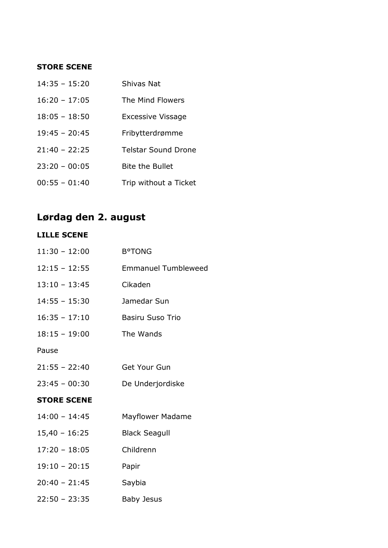#### **STORE SCENE**

| $14:35 - 15:20$ | Shivas Nat                 |
|-----------------|----------------------------|
| $16:20 - 17:05$ | The Mind Flowers           |
| $18:05 - 18:50$ | <b>Excessive Vissage</b>   |
| $19:45 - 20:45$ | Fribytterdrømme            |
| $21:40 - 22:25$ | <b>Telstar Sound Drone</b> |
| $23:20 - 00:05$ | <b>Bite the Bullet</b>     |
| $00:55 - 01:40$ | Trip without a Ticket      |

# **Lørdag den 2. august**

### **LILLE SCENE**

| $11:30 - 12:00$    | <b>B°TONG</b>              |
|--------------------|----------------------------|
| $12:15 - 12:55$    | <b>Emmanuel Tumbleweed</b> |
| $13:10 - 13:45$    | Cikaden                    |
| $14:55 - 15:30$    | Jamedar Sun                |
| $16:35 - 17:10$    | <b>Basiru Suso Trio</b>    |
| $18:15 - 19:00$    | The Wands                  |
| Pause              |                            |
| $21:55 - 22:40$    | <b>Get Your Gun</b>        |
| $23:45 - 00:30$    | De Underjordiske           |
| <b>STORE SCENE</b> |                            |
| $14:00 - 14:45$    | <b>Mayflower Madame</b>    |
| $15,40 - 16:25$    | <b>Black Seagull</b>       |
| $17:20 - 18:05$    | Childrenn                  |
| $19:10 - 20:15$    | Papir                      |
| $20:40 - 21:45$    | Saybia                     |
| $22:50 - 23:35$    | Baby Jesus                 |